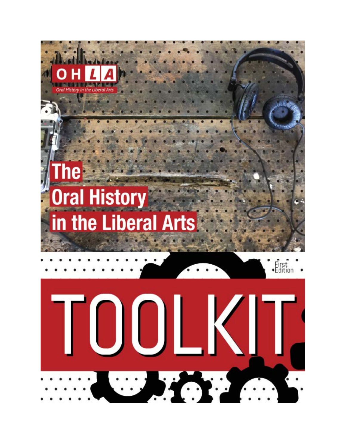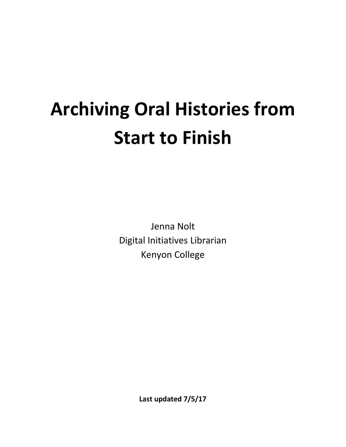## **Archiving Oral Histories from Start to Finish**

Jenna Nolt Digital Initiatives Librarian Kenyon College

**Last updated 7/5/17**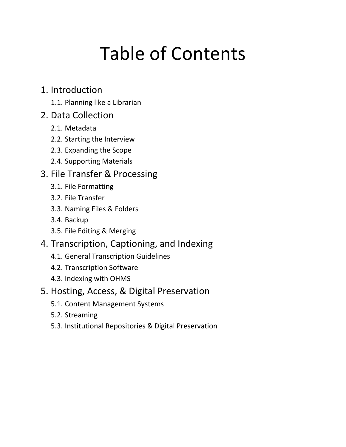## Table of Contents

#### 1. Introduction

1.1. Planning like a Librarian

#### 2. Data Collection

- 2.1. Metadata
- 2.2. Starting the Interview
- 2.3. Expanding the Scope
- 2.4. Supporting Materials

#### 3. File Transfer & Processing

- 3.1. File Formatting
- 3.2. File Transfer
- 3.3. Naming Files & Folders
- 3.4. Backup
- 3.5. File Editing & Merging
- 4. Transcription, Captioning, and Indexing
	- 4.1. General Transcription Guidelines
	- 4.2. Transcription Software
	- 4.3. Indexing with OHMS

#### 5. Hosting, Access, & Digital Preservation

- 5.1. Content Management Systems
- 5.2. Streaming
- 5.3. Institutional Repositories & Digital Preservation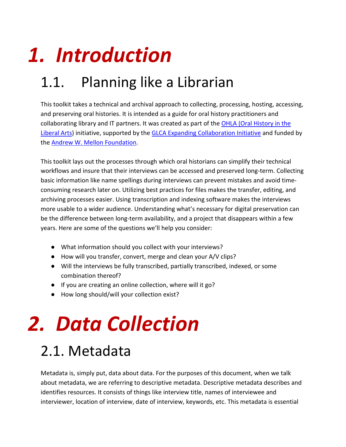# *1. Introduction*

## 1.1. Planning like a Librarian

This toolkit takes a technical and archival approach to collecting, processing, hosting, accessing, and preserving oral histories. It is intended as a guide for oral history practitioners and collaborating library and IT partners. It was created as part of the [OHLA \(Oral History in the](http://ohla.info/)  [Liberal Arts\)](http://ohla.info/) initiative, supported by the [GLCA Expanding Collaboration Initiative](https://glca.org/glcaprograms/glca-expanding-collaboration-initiative) and funded by the [Andrew W. Mellon Foundation.](https://mellon.org/)

This toolkit lays out the processes through which oral historians can simplify their technical workflows and insure that their interviews can be accessed and preserved long-term. Collecting basic information like name spellings during interviews can prevent mistakes and avoid timeconsuming research later on. Utilizing best practices for files makes the transfer, editing, and archiving processes easier. Using transcription and indexing software makes the interviews more usable to a wider audience. Understanding what's necessary for digital preservation can be the difference between long-term availability, and a project that disappears within a few years. Here are some of the questions we'll help you consider:

- What information should you collect with your interviews?
- How will you transfer, convert, merge and clean your A/V clips?
- Will the interviews be fully transcribed, partially transcribed, indexed, or some combination thereof?
- If you are creating an online collection, where will it go?
- How long should/will your collection exist?

# *2. Data Collection*

### 2.1. Metadata

Metadata is, simply put, data about data. For the purposes of this document, when we talk about metadata, we are referring to descriptive metadata. Descriptive metadata describes and identifies resources. It consists of things like interview title, names of interviewee and interviewer, location of interview, date of interview, keywords, etc. This metadata is essential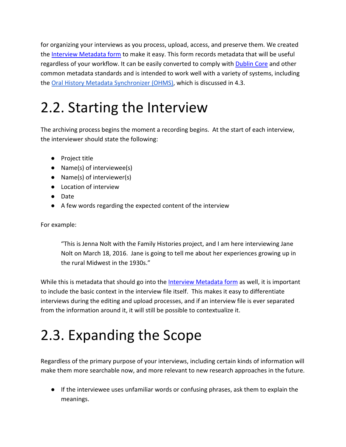for organizing your interviews as you process, upload, access, and preserve them. We created the [Interview Metadata form](https://works.bepress.com/jenna_nolt/10/) to make it easy. This form records metadata that will be useful regardless of your workflow. It can be easily converted to comply wit[h Dublin Core](http://dublincore.org/) and other common metadata standards and is intended to work well with a variety of systems, including the [Oral History Metadata Synchronizer \(OHMS\),](http://www.oralhistoryonline.org/) which is discussed in 4.3.

#### 2.2. Starting the Interview

The archiving process begins the moment a recording begins. At the start of each interview, the interviewer should state the following:

- Project title
- Name(s) of interviewee(s)
- Name(s) of interviewer(s)
- Location of interview
- Date
- A few words regarding the expected content of the interview

For example:

"This is Jenna Nolt with the Family Histories project, and I am here interviewing Jane Nolt on March 18, 2016. Jane is going to tell me about her experiences growing up in the rural Midwest in the 1930s."

While this is metadata that should go into the **Interview Metadata form** as well, it is important to include the basic context in the interview file itself. This makes it easy to differentiate interviews during the editing and upload processes, and if an interview file is ever separated from the information around it, it will still be possible to contextualize it.

### 2.3. Expanding the Scope

Regardless of the primary purpose of your interviews, including certain kinds of information will make them more searchable now, and more relevant to new research approaches in the future.

● If the interviewee uses unfamiliar words or confusing phrases, ask them to explain the meanings.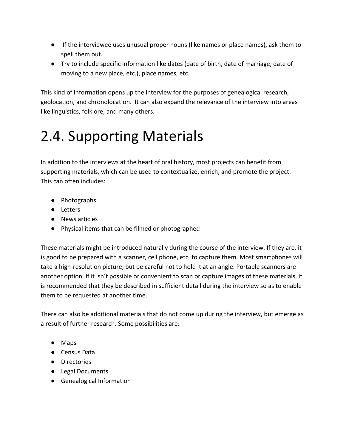- If the interviewee uses unusual proper nouns (like names or place names), ask them to spell them out.
- Try to include specific information like dates (date of birth, date of marriage, date of moving to a new place, etc.), place names, etc.

This kind of information opens up the interview for the purposes of genealogical research, geolocation, and chronolocation. It can also expand the relevance of the interview into areas like linguistics, folklore, and many others.

#### 2.4. Supporting Materials

In addition to the interviews at the heart of oral history, most projects can benefit from supporting materials, which can be used to contextualize, enrich, and promote the project. This can often includes:

- Photographs
- Letters
- News articles
- Physical items that can be filmed or photographed

These materials might be introduced naturally during the course of the interview. If they are, it is good to be prepared with a scanner, cell phone, etc. to capture them. Most smartphones will take a high-resolution picture, but be careful not to hold it at an angle. Portable scanners are another option. If it isn't possible or convenient to scan or capture images of these materials, it is recommended that they be described in sufficient detail during the interview so as to enable them to be requested at another time.

There can also be additional materials that do not come up during the interview, but emerge as a result of further research. Some possibilities are:

- Maps
- Census Data
- Directories
- Legal Documents
- Genealogical Information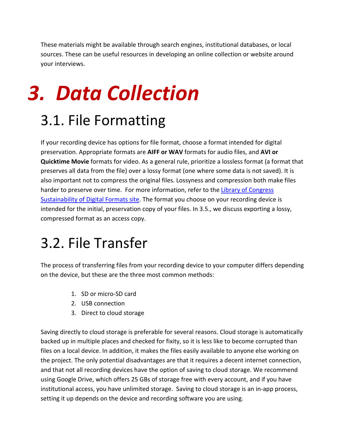These materials might be available through search engines, institutional databases, or local sources. These can be useful resources in developing an online collection or website around your interviews.

## *3. Data Collection*

#### 3.1. File Formatting

If your recording device has options for file format, choose a format intended for digital preservation. Appropriate formats are **AIFF or WAV** formats for audio files, and **AVI or Quicktime Movie** formats for video. As a general rule, prioritize a lossless format (a format that preserves all data from the file) over a lossy format (one where some data is not saved). It is also important not to compress the original files. Lossyness and compression both make files harder to preserve over time. For more information, refer to the [Library of Congress](https://www.loc.gov/preservation/digital/formats/)  [Sustainability of Digital Formats site.](https://www.loc.gov/preservation/digital/formats/) The format you choose on your recording device is intended for the initial, preservation copy of your files. In 3.5., we discuss exporting a lossy, compressed format as an access copy.

#### 3.2. File Transfer

The process of transferring files from your recording device to your computer differs depending on the device, but these are the three most common methods:

- 1. SD or micro-SD card
- 2. USB connection
- 3. Direct to cloud storage

Saving directly to cloud storage is preferable for several reasons. Cloud storage is automatically backed up in multiple places and checked for fixity, so it is less like to become corrupted than files on a local device. In addition, it makes the files easily available to anyone else working on the project. The only potential disadvantages are that it requires a decent internet connection, and that not all recording devices have the option of saving to cloud storage. We recommend using Google Drive, which offers 25 GBs of storage free with every account, and if you have institutional access, you have unlimited storage. Saving to cloud storage is an in-app process, setting it up depends on the device and recording software you are using.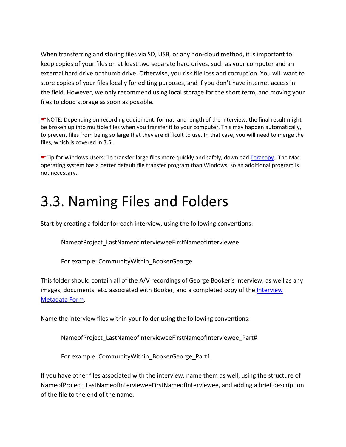When transferring and storing files via SD, USB, or any non-cloud method, it is important to keep copies of your files on at least two separate hard drives, such as your computer and an external hard drive or thumb drive. Otherwise, you risk file loss and corruption. You will want to store copies of your files locally for editing purposes, and if you don't have internet access in the field. However, we only recommend using local storage for the short term, and moving your files to cloud storage as soon as possible.

NOTE: Depending on recording equipment, format, and length of the interview, the final result might be broken up into multiple files when you transfer it to your computer. This may happen automatically, to prevent files from being so large that they are difficult to use. In that case, you will need to merge the files, which is covered in 3.5.

Tip for Windows Users: To transfer large files more quickly and safely, download [Teracopy.](http://www.codesector.com/teracopy) The Mac operating system has a better default file transfer program than Windows, so an additional program is not necessary.

#### 3.3. Naming Files and Folders

Start by creating a folder for each interview, using the following conventions:

NameofProject\_LastNameofIntervieweeFirstNameofInterviewee

For example: CommunityWithin\_BookerGeorge

This folder should contain all of the A/V recordings of George Booker's interview, as well as any images, documents, etc. associated with Booker, and a completed copy of the [Interview](https://works.bepress.com/jenna_nolt/10/)  [Metadata Form.](https://works.bepress.com/jenna_nolt/10/)

Name the interview files within your folder using the following conventions:

NameofProject\_LastNameofIntervieweeFirstNameofInterviewee\_Part#

For example: CommunityWithin\_BookerGeorge\_Part1

If you have other files associated with the interview, name them as well, using the structure of NameofProject LastNameofIntervieweeFirstNameofInterviewee, and adding a brief description of the file to the end of the name.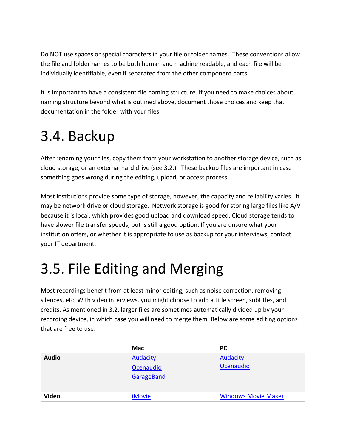Do NOT use spaces or special characters in your file or folder names. These conventions allow the file and folder names to be both human and machine readable, and each file will be individually identifiable, even if separated from the other component parts.

It is important to have a consistent file naming structure. If you need to make choices about naming structure beyond what is outlined above, document those choices and keep that documentation in the folder with your files.

#### 3.4. Backup

After renaming your files, copy them from your workstation to another storage device, such as cloud storage, or an external hard drive (see 3.2.). These backup files are important in case something goes wrong during the editing, upload, or access process.

Most institutions provide some type of storage, however, the capacity and reliability varies. It may be network drive or cloud storage. Network storage is good for storing large files like A/V because it is local, which provides good upload and download speed. Cloud storage tends to have slower file transfer speeds, but is still a good option. If you are unsure what your institution offers, or whether it is appropriate to use as backup for your interviews, contact your IT department.

#### 3.5. File Editing and Merging

Most recordings benefit from at least minor editing, such as noise correction, removing silences, etc. With video interviews, you might choose to add a title screen, subtitles, and credits. As mentioned in 3.2, larger files are sometimes automatically divided up by your recording device, in which case you will need to merge them. Below are some editing options that are free to use:

|              | Mac                          | <b>PC</b>                    |
|--------------|------------------------------|------------------------------|
| <b>Audio</b> | <b>Audacity</b><br>Ocenaudio | <b>Audacity</b><br>Ocenaudio |
|              | GarageBand                   |                              |
| <b>Video</b> | <i>iMovie</i>                | <b>Windows Movie Maker</b>   |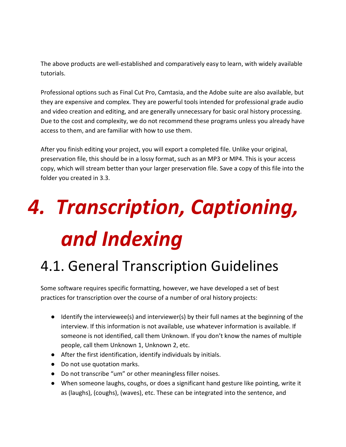The above products are well-established and comparatively easy to learn, with widely available tutorials.

Professional options such as Final Cut Pro, Camtasia, and the Adobe suite are also available, but they are expensive and complex. They are powerful tools intended for professional grade audio and video creation and editing, and are generally unnecessary for basic oral history processing. Due to the cost and complexity, we do not recommend these programs unless you already have access to them, and are familiar with how to use them.

After you finish editing your project, you will export a completed file. Unlike your original, preservation file, this should be in a lossy format, such as an MP3 or MP4. This is your access copy, which will stream better than your larger preservation file. Save a copy of this file into the folder you created in 3.3.

# *4. Transcription, Captioning, and Indexing*

#### 4.1. General Transcription Guidelines

Some software requires specific formatting, however, we have developed a set of best practices for transcription over the course of a number of oral history projects:

- Identify the interviewee(s) and interviewer(s) by their full names at the beginning of the interview. If this information is not available, use whatever information is available. If someone is not identified, call them Unknown. If you don't know the names of multiple people, call them Unknown 1, Unknown 2, etc.
- After the first identification, identify individuals by initials.
- Do not use quotation marks.
- Do not transcribe "um" or other meaningless filler noises.
- When someone laughs, coughs, or does a significant hand gesture like pointing, write it as (laughs), (coughs), (waves), etc. These can be integrated into the sentence, and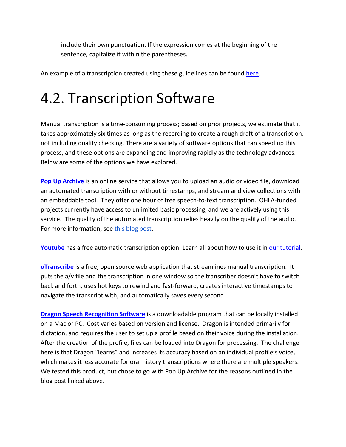include their own punctuation. If the expression comes at the beginning of the sentence, capitalize it within the parentheses.

An example of a transcription created using these guidelines can be found [here.](http://digital.kenyon.edu/gullah_video/122/)

#### 4.2. Transcription Software

Manual transcription is a time-consuming process; based on prior projects, we estimate that it takes approximately six times as long as the recording to create a rough draft of a transcription, not including quality checking. There are a variety of software options that can speed up this process, and these options are expanding and improving rapidly as the technology advances. Below are some of the options we have explored.

**[Pop Up Archive](https://popuparchive.com/)** is an online service that allows you to upload an audio or video file, download an automated transcription with or without timestamps, and stream and view collections with an embeddable tool. They offer one hour of free speech-to-text transcription. OHLA-funded projects currently have access to unlimited basic processing, and we are actively using this service. The quality of the automated transcription relies heavily on the quality of the audio. For more information, see [this blog post.](http://ohla.info/lost-in-transcription-how-to-avoid-gobbledygook-by-creating-clean-audio/)

**[Youtube](https://www.youtube.com/)** has a free automatic transcription option. Learn all about how to use it in [our tutorial.](http://ohla.info/automatic-transcriptions-youtube-or-popup-archive/)

**[oTranscribe](http://otranscribe.com/)** is a free, open source web application that streamlines manual transcription. It puts the a/v file and the transcription in one window so the transcriber doesn't have to switch back and forth, uses hot keys to rewind and fast-forward, creates interactive timestamps to navigate the transcript with, and automatically saves every second.

**[Dragon Speech Recognition Software](https://www.nuance.com/dragon.html)** is a downloadable program that can be locally installed on a Mac or PC. Cost varies based on version and license. Dragon is intended primarily for dictation, and requires the user to set up a profile based on their voice during the installation. After the creation of the profile, files can be loaded into Dragon for processing. The challenge here is that Dragon "learns" and increases its accuracy based on an individual profile's voice, which makes it less accurate for oral history transcriptions where there are multiple speakers. We tested this product, but chose to go with Pop Up Archive for the reasons outlined in the blog post linked above.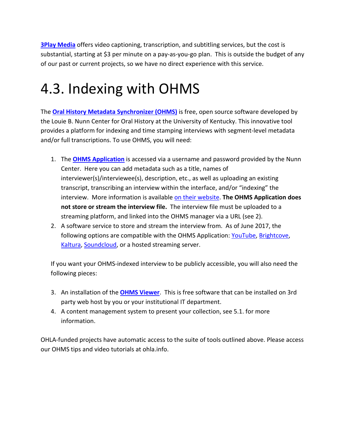**[3Play Media](http://www.3playmedia.com/)** offers video captioning, transcription, and subtitling services, but the cost is substantial, starting at \$3 per minute on a pay-as-you-go plan. This is outside the budget of any of our past or current projects, so we have no direct experience with this service.

#### 4.3. Indexing with OHMS

The **[Oral History Metadata Synchronizer \(OHMS\)](http://www.oralhistoryonline.org/tag/ohms-viewer/)** is free, open source software developed by the Louie B. Nunn Center for Oral History at the University of Kentucky. This innovative tool provides a platform for indexing and time stamping interviews with segment-level metadata and/or full transcriptions. To use OHMS, you will need:

- 1. The **[OHMS Application](https://ohms.uky.edu/)** is accessed via a username and password provided by the Nunn Center. Here you can add metadata such as a title, names of interviewer(s)/interviewee(s), description, etc., as well as uploading an existing transcript, transcribing an interview within the interface, and/or "indexing" the interview. More information is available [on their website.](http://www.oralhistoryonline.org/) **The OHMS Application does not store or stream the interview file.** The interview file must be uploaded to a streaming platform, and linked into the OHMS manager via a URL (see 2).
- 2. A software service to store and stream the interview from. As of June 2017, the following options are compatible with the OHMS Application: [YouTube,](http://www.youtube.com/) [Brightcove,](http://www.brightcove.com/) Kaltura, [Soundcloud,](http://www.soundcloud.com/) or a hosted streaming server.

If you want your OHMS-indexed interview to be publicly accessible, you will also need the following pieces:

- 3. An installation of the **[OHMS Viewer](http://www.oralhistoryonline.org/tag/ohms-viewer/)**. This is free software that can be installed on 3rd party web host by you or your institutional IT department.
- 4. A content management system to present your collection, see 5.1. for more information.

OHLA-funded projects have automatic access to the suite of tools outlined above. Please access our OHMS tips and video tutorials at ohla.info.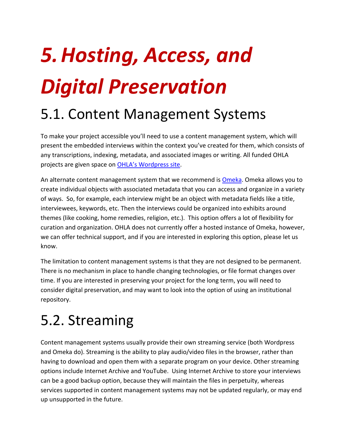# *5.Hosting, Access, and Digital Preservation*

#### 5.1. Content Management Systems

To make your project accessible you'll need to use a content management system, which will present the embedded interviews within the context you've created for them, which consists of any transcriptions, indexing, metadata, and associated images or writing. All funded OHLA projects are given space on [OHLA's Wordpress site.](http://ohla.info/)

An alternate content management system that we recommend is [Omeka.](https://omeka.org/) Omeka allows you to create individual objects with associated metadata that you can access and organize in a variety of ways. So, for example, each interview might be an object with metadata fields like a title, interviewees, keywords, etc. Then the interviews could be organized into exhibits around themes (like cooking, home remedies, religion, etc.). This option offers a lot of flexibility for curation and organization. OHLA does not currently offer a hosted instance of Omeka, however, we can offer technical support, and if you are interested in exploring this option, please let us know.

The limitation to content management systems is that they are not designed to be permanent. There is no mechanism in place to handle changing technologies, or file format changes over time. If you are interested in preserving your project for the long term, you will need to consider digital preservation, and may want to look into the option of using an institutional repository.

#### 5.2. Streaming

Content management systems usually provide their own streaming service (both Wordpress and Omeka do). Streaming is the ability to play audio/video files in the browser, rather than having to download and open them with a separate program on your device. Other streaming options include Internet Archive and YouTube. Using Internet Archive to store your interviews can be a good backup option, because they will maintain the files in perpetuity, whereas services supported in content management systems may not be updated regularly, or may end up unsupported in the future.